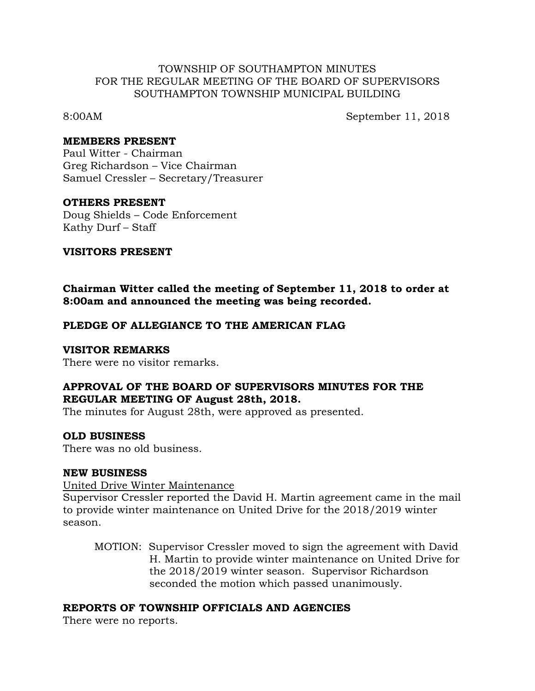### TOWNSHIP OF SOUTHAMPTON MINUTES FOR THE REGULAR MEETING OF THE BOARD OF SUPERVISORS SOUTHAMPTON TOWNSHIP MUNICIPAL BUILDING

8:00AM September 11, 2018

#### **MEMBERS PRESENT**

Paul Witter - Chairman Greg Richardson – Vice Chairman Samuel Cressler – Secretary/Treasurer

### **OTHERS PRESENT**

Doug Shields – Code Enforcement Kathy Durf – Staff

### **VISITORS PRESENT**

**Chairman Witter called the meeting of September 11, 2018 to order at 8:00am and announced the meeting was being recorded.**

## **PLEDGE OF ALLEGIANCE TO THE AMERICAN FLAG**

#### **VISITOR REMARKS**

There were no visitor remarks.

# **APPROVAL OF THE BOARD OF SUPERVISORS MINUTES FOR THE REGULAR MEETING OF August 28th, 2018.**

The minutes for August 28th, were approved as presented.

## **OLD BUSINESS**

There was no old business.

#### **NEW BUSINESS**

United Drive Winter Maintenance

Supervisor Cressler reported the David H. Martin agreement came in the mail to provide winter maintenance on United Drive for the 2018/2019 winter season.

MOTION: Supervisor Cressler moved to sign the agreement with David H. Martin to provide winter maintenance on United Drive for the 2018/2019 winter season. Supervisor Richardson seconded the motion which passed unanimously.

## **REPORTS OF TOWNSHIP OFFICIALS AND AGENCIES**

There were no reports.